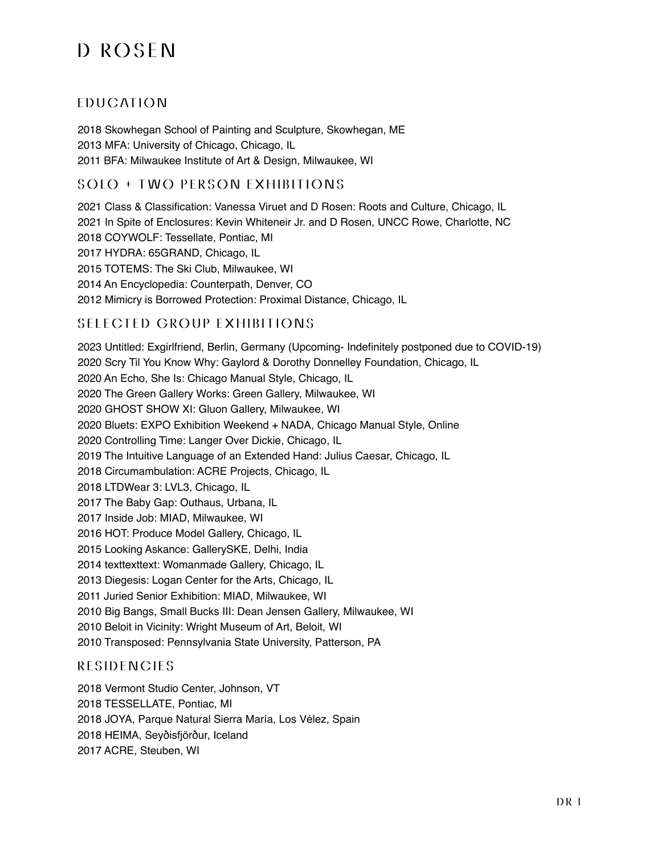## D ROSEN

### **EDUCATION**

2018 Skowhegan School of Painting and Sculpture, Skowhegan, ME 2013 MFA: University of Chicago, Chicago, IL 2011 BFA: Milwaukee Institute of Art & Design, Milwaukee, WI

#### SOLO + TWO PERSON EXHIBITIONS

2021 Class & Classification: Vanessa Viruet and D Rosen: Roots and Culture, Chicago, IL 2021 In Spite of Enclosures: Kevin Whiteneir Jr. and D Rosen, UNCC Rowe, Charlotte, NC 2018 COYWOLF: Tessellate, Pontiac, MI 2017 HYDRA: 65GRAND, Chicago, IL 2015 TOTEMS: The Ski Club, Milwaukee, WI 2014 An Encyclopedia: Counterpath, Denver, CO 2012 Mimicry is Borrowed Protection: Proximal Distance, Chicago, IL

#### SELECTED GROUP EXHIBITIONS

2023 Untitled: Exgirlfriend, Berlin, Germany (Upcoming- Indefinitely postponed due to COVID-19) 2020 Scry Til You Know Why: Gaylord & Dorothy Donnelley Foundation, Chicago, IL 2020 An Echo, She Is: Chicago Manual Style, Chicago, IL 2020 The Green Gallery Works: Green Gallery, Milwaukee, WI 2020 GHOST SHOW XI: Gluon Gallery, Milwaukee, WI 2020 Bluets: EXPO Exhibition Weekend + NADA, Chicago Manual Style, Online 2020 Controlling Time: Langer Over Dickie, Chicago, IL 2019 The Intuitive Language of an Extended Hand: Julius Caesar, Chicago, IL 2018 Circumambulation: ACRE Projects, Chicago, IL 2018 LTDWear 3: LVL3, Chicago, IL 2017 The Baby Gap: Outhaus, Urbana, IL 2017 Inside Job: MIAD, Milwaukee, WI 2016 HOT: Produce Model Gallery, Chicago, IL 2015 Looking Askance: GallerySKE, Delhi, India 2014 texttexttext: Womanmade Gallery, Chicago, IL 2013 Diegesis: Logan Center for the Arts, Chicago, IL 2011 Juried Senior Exhibition: MIAD, Milwaukee, WI 2010 Big Bangs, Small Bucks III: Dean Jensen Gallery, Milwaukee, WI 2010 Beloit in Vicinity: Wright Museum of Art, Beloit, WI 2010 Transposed: Pennsylvania State University, Patterson, PA

#### **RESIDENCIES**

2018 Vermont Studio Center, Johnson, VT 2018 TESSELLATE, Pontiac, MI 2018 JOYA, Parque Natural Sierra María, Los Vélez, Spain 2018 HEIMA, Seyðisfjörður, Iceland 2017 ACRE, Steuben, WI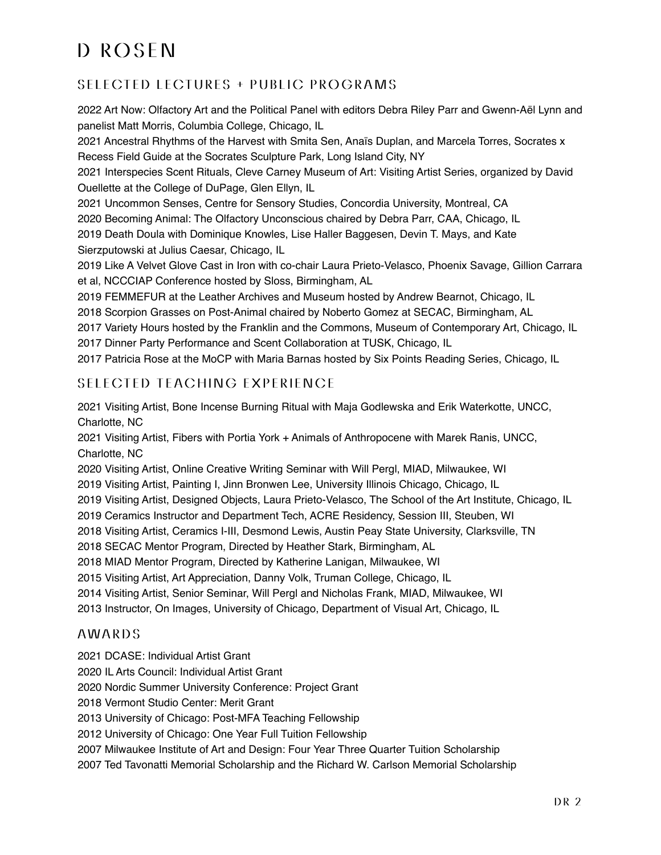# D ROSEN

## SELECTED LECTURES + PUBLIC PROGRAMS

2022 Art Now: Olfactory Art and the Political Panel with editors Debra Riley Parr and Gwenn-Aël Lynn and panelist Matt Morris, Columbia College, Chicago, IL

2021 Ancestral Rhythms of the Harvest with Smita Sen, Anaïs Duplan, and Marcela Torres, Socrates x Recess Field Guide at the Socrates Sculpture Park, Long Island City, NY

2021 Interspecies Scent Rituals, Cleve Carney Museum of Art: Visiting Artist Series, organized by David Ouellette at the College of DuPage, Glen Ellyn, IL

2021 Uncommon Senses, Centre for Sensory Studies, Concordia University, Montreal, CA 2020 Becoming Animal: The Olfactory Unconscious chaired by Debra Parr, CAA, Chicago, IL 2019 Death Doula with Dominique Knowles, Lise Haller Baggesen, Devin T. Mays, and Kate Sierzputowski at Julius Caesar, Chicago, IL

2019 Like A Velvet Glove Cast in Iron with co-chair Laura Prieto-Velasco, Phoenix Savage, Gillion Carrara et al, NCCCIAP Conference hosted by Sloss, Birmingham, AL

2019 FEMMEFUR at the Leather Archives and Museum hosted by Andrew Bearnot, Chicago, IL

2018 Scorpion Grasses on Post-Animal chaired by Noberto Gomez at SECAC, Birmingham, AL

2017 Variety Hours hosted by the Franklin and the Commons, Museum of Contemporary Art, Chicago, IL 2017 Dinner Party Performance and Scent Collaboration at TUSK, Chicago, IL

2017 Patricia Rose at the MoCP with Maria Barnas hosted by Six Points Reading Series, Chicago, IL

### SELECTED TEACHING EXPERIENCE

2021 Visiting Artist, Bone Incense Burning Ritual with Maja Godlewska and Erik Waterkotte, UNCC, Charlotte, NC

2021 Visiting Artist, Fibers with Portia York + Animals of Anthropocene with Marek Ranis, UNCC, Charlotte, NC

2020 Visiting Artist, Online Creative Writing Seminar with Will Pergl, MIAD, Milwaukee, WI

2019 Visiting Artist, Painting I, Jinn Bronwen Lee, University Illinois Chicago, Chicago, IL

2019 Visiting Artist, Designed Objects, Laura Prieto-Velasco, The School of the Art Institute, Chicago, IL

2019 Ceramics Instructor and Department Tech, ACRE Residency, Session III, Steuben, WI

2018 Visiting Artist, Ceramics I-III, Desmond Lewis, Austin Peay State University, Clarksville, TN

2018 SECAC Mentor Program, Directed by Heather Stark, Birmingham, AL

2018 MIAD Mentor Program, Directed by Katherine Lanigan, Milwaukee, WI

2015 Visiting Artist, Art Appreciation, Danny Volk, Truman College, Chicago, IL

2014 Visiting Artist, Senior Seminar, Will Pergl and Nicholas Frank, MIAD, Milwaukee, WI

2013 Instructor, On Images, University of Chicago, Department of Visual Art, Chicago, IL

#### AWARDS

2021 DCASE: Individual Artist Grant

2020 IL Arts Council: Individual Artist Grant

2020 Nordic Summer University Conference: Project Grant

2018 Vermont Studio Center: Merit Grant

2013 University of Chicago: Post-MFA Teaching Fellowship

2012 University of Chicago: One Year Full Tuition Fellowship

2007 Milwaukee Institute of Art and Design: Four Year Three Quarter Tuition Scholarship

2007 Ted Tavonatti Memorial Scholarship and the Richard W. Carlson Memorial Scholarship